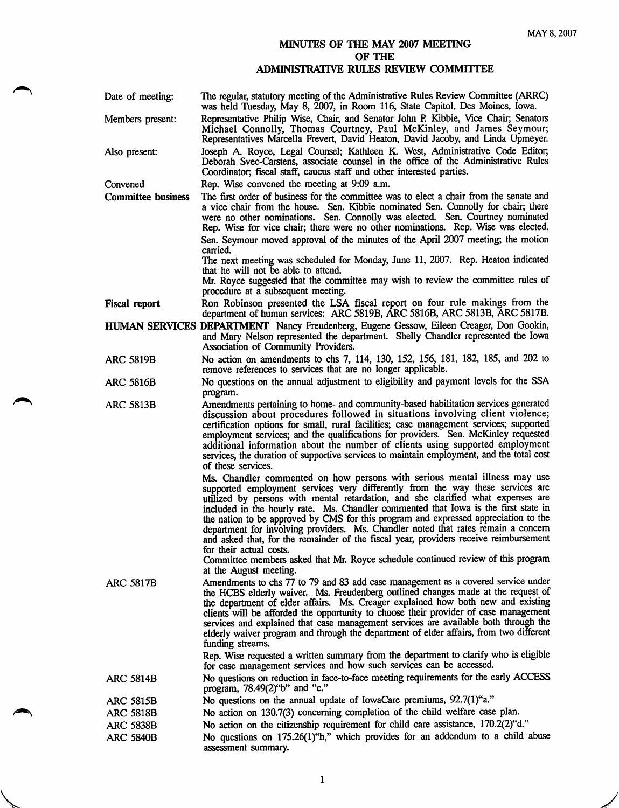## MINUTES OF THE MAY 2007 MEETING OF THE ADMINISTRATIVE RULES REVIEW COMMITTEE

| Date of meeting:          | The regular, statutory meeting of the Administrative Rules Review Committee (ARRC)<br>was held Tuesday, May 8, 2007, in Room 116, State Capitol, Des Moines, Iowa.                                                                                                                                                                                                                                                                                                                                                                                                                                                                                                                                                                             |
|---------------------------|------------------------------------------------------------------------------------------------------------------------------------------------------------------------------------------------------------------------------------------------------------------------------------------------------------------------------------------------------------------------------------------------------------------------------------------------------------------------------------------------------------------------------------------------------------------------------------------------------------------------------------------------------------------------------------------------------------------------------------------------|
| Members present:          | Representative Philip Wise, Chair, and Senator John P. Kibbie, Vice Chair; Senators<br>Michael Connolly, Thomas Courtney, Paul McKinley, and James Seymour;<br>Representatives Marcella Frevert, David Heaton, David Jacoby, and Linda Upmeyer.                                                                                                                                                                                                                                                                                                                                                                                                                                                                                                |
| Also present:             | Joseph A. Royce, Legal Counsel; Kathleen K. West, Administrative Code Editor;<br>Deborah Svec-Carstens, associate counsel in the office of the Administrative Rules<br>Coordinator; fiscal staff, caucus staff and other interested parties.                                                                                                                                                                                                                                                                                                                                                                                                                                                                                                   |
| Convened                  | Rep. Wise convened the meeting at 9:09 a.m.                                                                                                                                                                                                                                                                                                                                                                                                                                                                                                                                                                                                                                                                                                    |
| <b>Committee business</b> | The first order of business for the committee was to elect a chair from the senate and<br>a vice chair from the house. Sen. Kibbie nominated Sen. Connolly for chair; there<br>were no other nominations. Sen. Connolly was elected. Sen. Courtney nominated<br>Rep. Wise for vice chair; there were no other nominations. Rep. Wise was elected.                                                                                                                                                                                                                                                                                                                                                                                              |
|                           | Sen. Seymour moved approval of the minutes of the April 2007 meeting; the motion<br>carried.                                                                                                                                                                                                                                                                                                                                                                                                                                                                                                                                                                                                                                                   |
|                           | The next meeting was scheduled for Monday, June 11, 2007. Rep. Heaton indicated<br>that he will not be able to attend.                                                                                                                                                                                                                                                                                                                                                                                                                                                                                                                                                                                                                         |
|                           | Mr. Royce suggested that the committee may wish to review the committee rules of<br>procedure at a subsequent meeting.                                                                                                                                                                                                                                                                                                                                                                                                                                                                                                                                                                                                                         |
| <b>Fiscal report</b>      | Ron Robinson presented the LSA fiscal report on four rule makings from the<br>department of human services: ARC 5819B, ARC 5816B, ARC 5813B, ARC 5817B.                                                                                                                                                                                                                                                                                                                                                                                                                                                                                                                                                                                        |
|                           | HUMAN SERVICES DEPARTMENT Nancy Freudenberg, Eugene Gessow, Eileen Creager, Don Gookin,<br>and Mary Nelson represented the department. Shelly Chandler represented the Iowa<br>Association of Community Providers.                                                                                                                                                                                                                                                                                                                                                                                                                                                                                                                             |
| <b>ARC 5819B</b>          | No action on amendments to chs 7, 114, 130, 152, 156, 181, 182, 185, and 202 to<br>remove references to services that are no longer applicable.                                                                                                                                                                                                                                                                                                                                                                                                                                                                                                                                                                                                |
| <b>ARC 5816B</b>          | No questions on the annual adjustment to eligibility and payment levels for the SSA<br>program.                                                                                                                                                                                                                                                                                                                                                                                                                                                                                                                                                                                                                                                |
| <b>ARC 5813B</b>          | Amendments pertaining to home- and community-based habilitation services generated<br>discussion about procedures followed in situations involving client violence;<br>certification options for small, rural facilities; case management services; supported<br>employment services; and the qualifications for providers. Sen. McKinley requested<br>additional information about the number of clients using supported employment<br>services, the duration of supportive services to maintain employment, and the total cost<br>of these services.                                                                                                                                                                                         |
|                           | Ms. Chandler commented on how persons with serious mental illness may use<br>supported employment services very differently from the way these services are<br>utilized by persons with mental retardation, and she clarified what expenses are<br>included in the hourly rate. Ms. Chandler commented that Iowa is the first state in<br>the nation to be approved by CMS for this program and expressed appreciation to the<br>department for involving providers. Ms. Chandler noted that rates remain a concern<br>and asked that, for the remainder of the fiscal year, providers receive reimbursement<br>for their actual costs.<br>Committee members asked that Mr. Royce schedule continued review of this program                    |
| <b>ARC 5817B</b>          | at the August meeting.<br>Amendments to chs 77 to 79 and 83 add case management as a covered service under<br>the HCBS elderly waiver. Ms. Freudenberg outlined changes made at the request of<br>the department of elder affairs. Ms. Creager explained how both new and existing<br>clients will be afforded the opportunity to choose their provider of case management<br>services and explained that case management services are available both through the<br>elderly waiver program and through the department of elder affairs, from two different<br>funding streams.<br>Rep. Wise requested a written summary from the department to clarify who is eligible<br>for case management services and how such services can be accessed. |
| <b>ARC 5814B</b>          | No questions on reduction in face-to-face meeting requirements for the early ACCESS                                                                                                                                                                                                                                                                                                                                                                                                                                                                                                                                                                                                                                                            |
| <b>ARC 5815B</b>          | program, 78.49(2)"b" and "c."<br>No questions on the annual update of IowaCare premiums, 92.7(1)"a."                                                                                                                                                                                                                                                                                                                                                                                                                                                                                                                                                                                                                                           |
| <b>ARC 5818B</b>          | No action on 130.7(3) concerning completion of the child welfare case plan.                                                                                                                                                                                                                                                                                                                                                                                                                                                                                                                                                                                                                                                                    |
| <b>ARC 5838B</b>          | No action on the citizenship requirement for child care assistance, 170.2(2) d."                                                                                                                                                                                                                                                                                                                                                                                                                                                                                                                                                                                                                                                               |
| <b>ARC 5840B</b>          | No questions on 175.26(1)"h," which provides for an addendum to a child abuse<br>assessment summary.                                                                                                                                                                                                                                                                                                                                                                                                                                                                                                                                                                                                                                           |